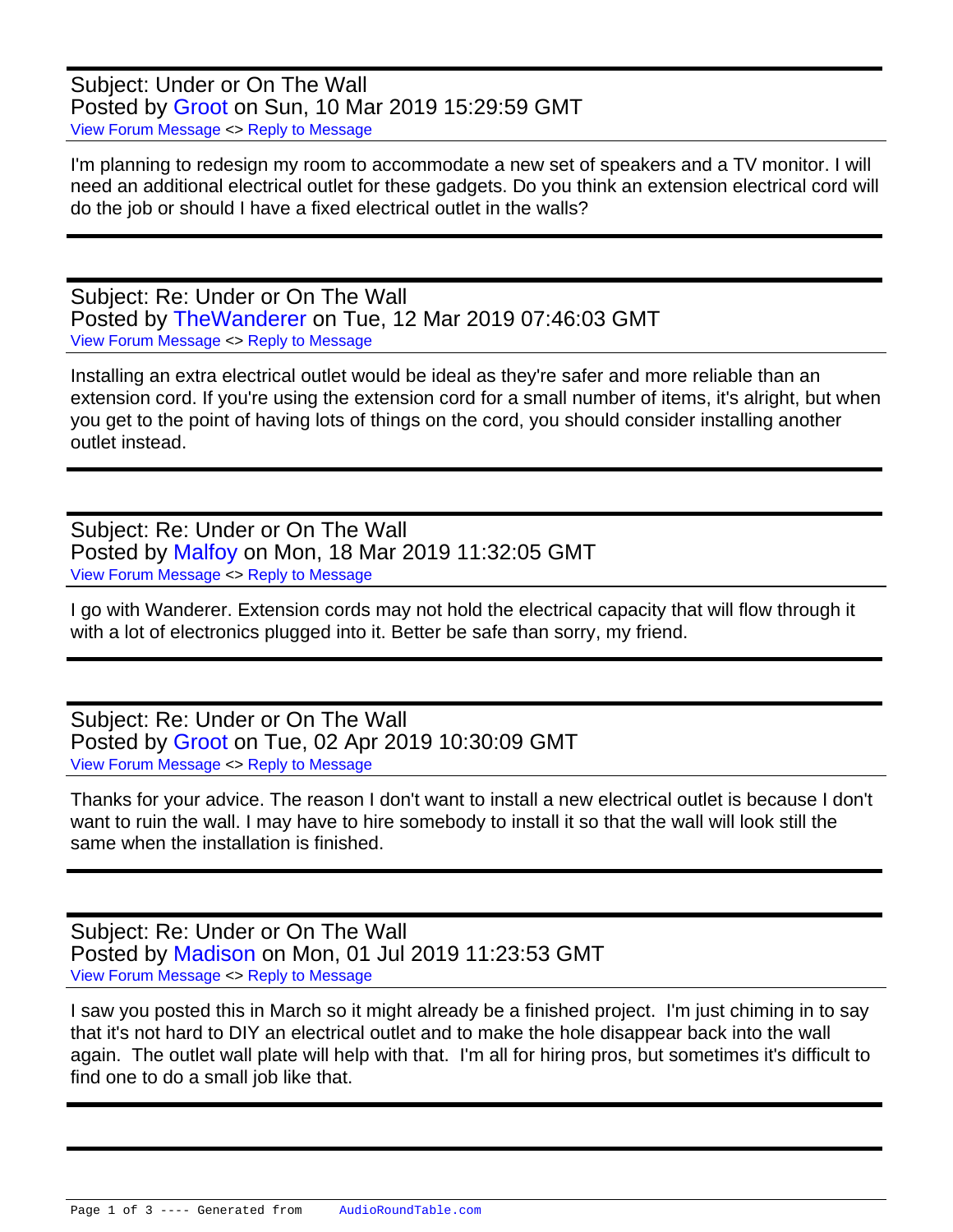Subject: Under or On The Wall Posted by [Groot](https://audioroundtable.com/forum/index.php?t=usrinfo&id=8438) on Sun, 10 Mar 2019 15:29:59 GMT [View Forum Message](https://audioroundtable.com/forum/index.php?t=rview&th=22380&goto=89896#msg_89896) <> [Reply to Message](https://audioroundtable.com/forum/index.php?t=post&reply_to=89896)

I'm planning to redesign my room to accommodate a new set of speakers and a TV monitor. I will need an additional electrical outlet for these gadgets. Do you think an extension electrical cord will do the job or should I have a fixed electrical outlet in the walls?

Subject: Re: Under or On The Wall Posted by [TheWanderer](https://audioroundtable.com/forum/index.php?t=usrinfo&id=8551) on Tue, 12 Mar 2019 07:46:03 GMT [View Forum Message](https://audioroundtable.com/forum/index.php?t=rview&th=22380&goto=89914#msg_89914) <> [Reply to Message](https://audioroundtable.com/forum/index.php?t=post&reply_to=89914)

Installing an extra electrical outlet would be ideal as they're safer and more reliable than an extension cord. If you're using the extension cord for a small number of items, it's alright, but when you get to the point of having lots of things on the cord, you should consider installing another outlet instead.

Subject: Re: Under or On The Wall Posted by [Malfoy](https://audioroundtable.com/forum/index.php?t=usrinfo&id=8393) on Mon, 18 Mar 2019 11:32:05 GMT [View Forum Message](https://audioroundtable.com/forum/index.php?t=rview&th=22380&goto=89941#msg_89941) <> [Reply to Message](https://audioroundtable.com/forum/index.php?t=post&reply_to=89941)

I go with Wanderer. Extension cords may not hold the electrical capacity that will flow through it with a lot of electronics plugged into it. Better be safe than sorry, my friend.

Subject: Re: Under or On The Wall Posted by [Groot](https://audioroundtable.com/forum/index.php?t=usrinfo&id=8438) on Tue, 02 Apr 2019 10:30:09 GMT [View Forum Message](https://audioroundtable.com/forum/index.php?t=rview&th=22380&goto=89983#msg_89983) <> [Reply to Message](https://audioroundtable.com/forum/index.php?t=post&reply_to=89983)

Thanks for your advice. The reason I don't want to install a new electrical outlet is because I don't want to ruin the wall. I may have to hire somebody to install it so that the wall will look still the same when the installation is finished.

Subject: Re: Under or On The Wall Posted by [Madison](https://audioroundtable.com/forum/index.php?t=usrinfo&id=7956) on Mon, 01 Jul 2019 11:23:53 GMT [View Forum Message](https://audioroundtable.com/forum/index.php?t=rview&th=22380&goto=90591#msg_90591) <> [Reply to Message](https://audioroundtable.com/forum/index.php?t=post&reply_to=90591)

I saw you posted this in March so it might already be a finished project. I'm just chiming in to say that it's not hard to DIY an electrical outlet and to make the hole disappear back into the wall again. The outlet wall plate will help with that. I'm all for hiring pros, but sometimes it's difficult to find one to do a small job like that.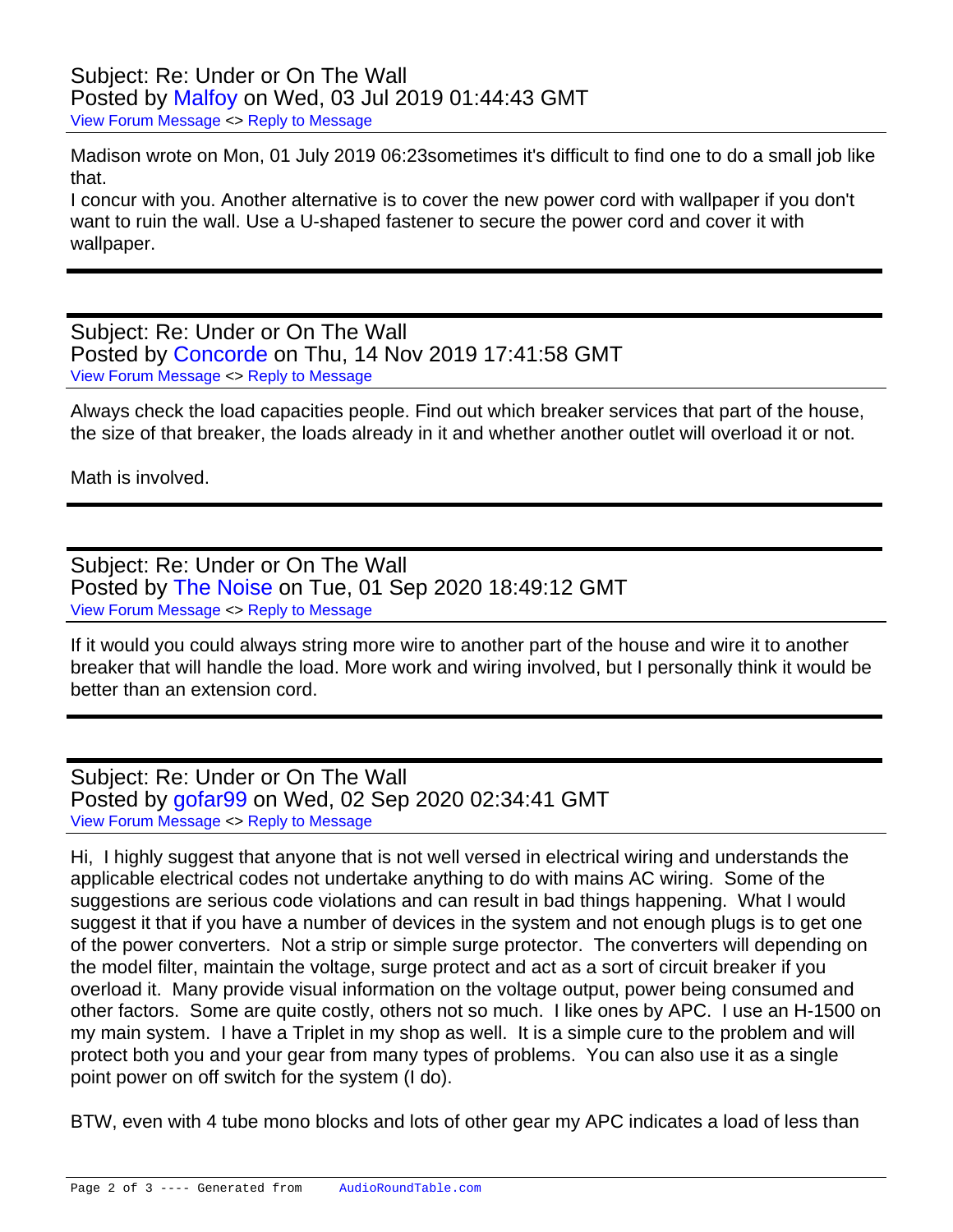## Subject: Re: Under or On The Wall Posted by [Malfoy](https://audioroundtable.com/forum/index.php?t=usrinfo&id=8393) on Wed, 03 Jul 2019 01:44:43 GMT [View Forum Message](https://audioroundtable.com/forum/index.php?t=rview&th=22380&goto=90617#msg_90617) <> [Reply to Message](https://audioroundtable.com/forum/index.php?t=post&reply_to=90617)

Madison wrote on Mon, 01 July 2019 06:23sometimes it's difficult to find one to do a small job like that.

I concur with you. Another alternative is to cover the new power cord with wallpaper if you don't want to ruin the wall. Use a U-shaped fastener to secure the power cord and cover it with wallpaper.

Subject: Re: Under or On The Wall Posted by [Concorde](https://audioroundtable.com/forum/index.php?t=usrinfo&id=6280) on Thu, 14 Nov 2019 17:41:58 GMT [View Forum Message](https://audioroundtable.com/forum/index.php?t=rview&th=22380&goto=91164#msg_91164) <> [Reply to Message](https://audioroundtable.com/forum/index.php?t=post&reply_to=91164)

Always check the load capacities people. Find out which breaker services that part of the house, the size of that breaker, the loads already in it and whether another outlet will overload it or not.

Math is involved.

Subject: Re: Under or On The Wall Posted by [The Noise](https://audioroundtable.com/forum/index.php?t=usrinfo&id=4981) on Tue, 01 Sep 2020 18:49:12 GMT [View Forum Message](https://audioroundtable.com/forum/index.php?t=rview&th=22380&goto=92244#msg_92244) <> [Reply to Message](https://audioroundtable.com/forum/index.php?t=post&reply_to=92244)

If it would you could always string more wire to another part of the house and wire it to another breaker that will handle the load. More work and wiring involved, but I personally think it would be better than an extension cord.

Subject: Re: Under or On The Wall Posted by [gofar99](https://audioroundtable.com/forum/index.php?t=usrinfo&id=3806) on Wed, 02 Sep 2020 02:34:41 GMT [View Forum Message](https://audioroundtable.com/forum/index.php?t=rview&th=22380&goto=92247#msg_92247) <> [Reply to Message](https://audioroundtable.com/forum/index.php?t=post&reply_to=92247)

Hi, I highly suggest that anyone that is not well versed in electrical wiring and understands the applicable electrical codes not undertake anything to do with mains AC wiring. Some of the suggestions are serious code violations and can result in bad things happening. What I would suggest it that if you have a number of devices in the system and not enough plugs is to get one of the power converters. Not a strip or simple surge protector. The converters will depending on the model filter, maintain the voltage, surge protect and act as a sort of circuit breaker if you overload it. Many provide visual information on the voltage output, power being consumed and other factors. Some are quite costly, others not so much. I like ones by APC. I use an H-1500 on my main system. I have a Triplet in my shop as well. It is a simple cure to the problem and will protect both you and your gear from many types of problems. You can also use it as a single point power on off switch for the system (I do).

BTW, even with 4 tube mono blocks and lots of other gear my APC indicates a load of less than